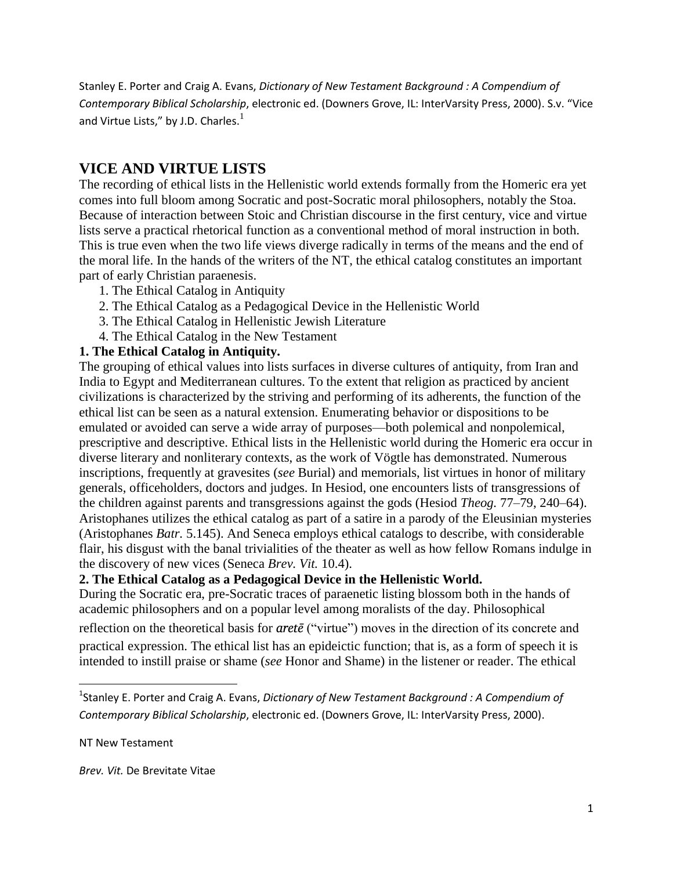Stanley E. Porter and Craig A. Evans, *Dictionary of New Testament Background : A Compendium of Contemporary Biblical Scholarship*, electronic ed. (Downers Grove, IL: InterVarsity Press, 2000). S.v. "Vice and Virtue Lists," by J.D. Charles. $^{\rm l}$ 

## **VICE AND VIRTUE LISTS**

The recording of ethical lists in the Hellenistic world extends formally from the Homeric era yet comes into full bloom among Socratic and post-Socratic moral philosophers, notably the Stoa. Because of interaction between Stoic and Christian discourse in the first century, vice and virtue lists serve a practical rhetorical function as a conventional method of moral instruction in both. This is true even when the two life views diverge radically in terms of the means and the end of the moral life. In the hands of the writers of the NT, the ethical catalog constitutes an important part of early Christian paraenesis.

- 1. The Ethical Catalog in Antiquity
- 2. The Ethical Catalog as a Pedagogical Device in the Hellenistic World
- 3. The Ethical Catalog in Hellenistic Jewish Literature
- 4. The Ethical Catalog in the New Testament

## **1. The Ethical Catalog in Antiquity.**

The grouping of ethical values into lists surfaces in diverse cultures of antiquity, from Iran and India to Egypt and Mediterranean cultures. To the extent that religion as practiced by ancient civilizations is characterized by the striving and performing of its adherents, the function of the ethical list can be seen as a natural extension. Enumerating behavior or dispositions to be emulated or avoided can serve a wide array of purposes—both polemical and nonpolemical, prescriptive and descriptive. Ethical lists in the Hellenistic world during the Homeric era occur in diverse literary and nonliterary contexts, as the work of Vögtle has demonstrated. Numerous inscriptions, frequently at gravesites (*see* Burial) and memorials, list virtues in honor of military generals, officeholders, doctors and judges. In Hesiod, one encounters lists of transgressions of the children against parents and transgressions against the gods (Hesiod *Theog.* 77–79, 240–64). Aristophanes utilizes the ethical catalog as part of a satire in a parody of the Eleusinian mysteries (Aristophanes *Batr.* 5.145). And Seneca employs ethical catalogs to describe, with considerable flair, his disgust with the banal trivialities of the theater as well as how fellow Romans indulge in the discovery of new vices (Seneca *Brev. Vit.* 10.4).

## **2. The Ethical Catalog as a Pedagogical Device in the Hellenistic World.**

During the Socratic era, pre-Socratic traces of paraenetic listing blossom both in the hands of academic philosophers and on a popular level among moralists of the day. Philosophical reflection on the theoretical basis for *arete* ("virtue") moves in the direction of its concrete and practical expression. The ethical list has an epideictic function; that is, as a form of speech it is intended to instill praise or shame (*see* Honor and Shame) in the listener or reader. The ethical

NT New Testament

 $\overline{\phantom{a}}$ 

*Brev. Vit.* De Brevitate Vitae

<sup>&</sup>lt;sup>1</sup>Stanley E. Porter and Craig A. Evans, *Dictionary of New Testament Background : A Compendium of Contemporary Biblical Scholarship*, electronic ed. (Downers Grove, IL: InterVarsity Press, 2000).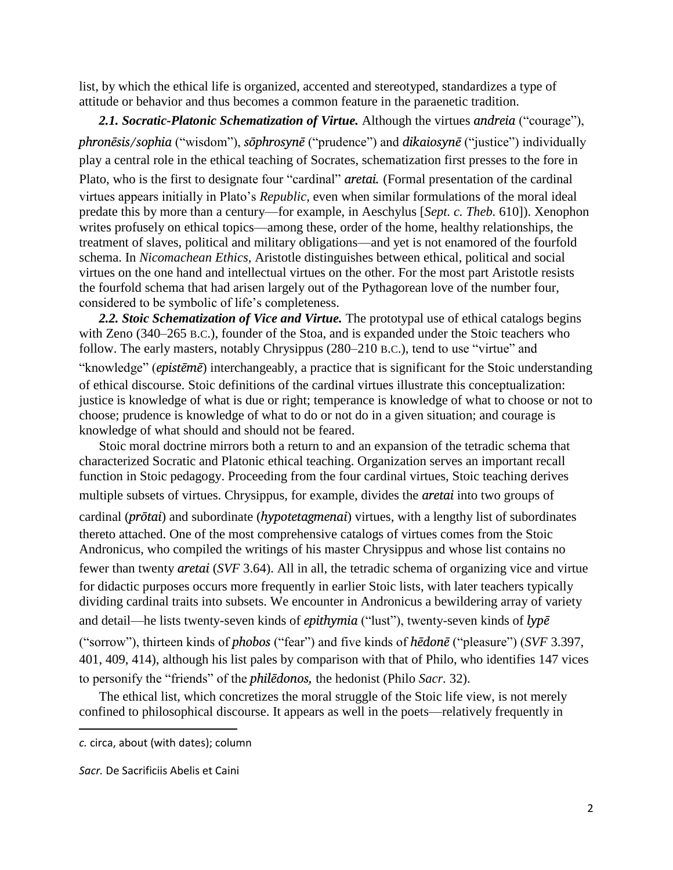list, by which the ethical life is organized, accented and stereotyped, standardizes a type of attitude or behavior and thus becomes a common feature in the paraenetic tradition.

2.1. Socratic-Platonic Schematization of Virtue. Although the virtues andreia ("courage"), *phronēsis/sophia* ("wisdom"), *sōphrosynē* ("prudence") and *dikaiosynē* ("justice") individually play a central role in the ethical teaching of Socrates, schematization first presses to the fore in Plato, who is the first to designate four "cardinal" *aretai*. (Formal presentation of the cardinal virtues appears initially in Plato's *Republic,* even when similar formulations of the moral ideal predate this by more than a century—for example, in Aeschylus [*Sept. c. Theb.* 610]). Xenophon writes profusely on ethical topics—among these, order of the home, healthy relationships, the treatment of slaves, political and military obligations—and yet is not enamored of the fourfold schema. In *Nicomachean Ethics,* Aristotle distinguishes between ethical, political and social virtues on the one hand and intellectual virtues on the other. For the most part Aristotle resists the fourfold schema that had arisen largely out of the Pythagorean love of the number four, considered to be symbolic of life's completeness.

*2.2. Stoic Schematization of Vice and Virtue.* The prototypal use of ethical catalogs begins with Zeno (340–265 B.C.), founder of the Stoa, and is expanded under the Stoic teachers who follow. The early masters, notably Chrysippus (280–210 B.C.), tend to use "virtue" and "knowledge" (*episteme*) interchangeably, a practice that is significant for the Stoic understanding of ethical discourse. Stoic definitions of the cardinal virtues illustrate this conceptualization: justice is knowledge of what is due or right; temperance is knowledge of what to choose or not to choose; prudence is knowledge of what to do or not do in a given situation; and courage is knowledge of what should and should not be feared.

Stoic moral doctrine mirrors both a return to and an expansion of the tetradic schema that characterized Socratic and Platonic ethical teaching. Organization serves an important recall function in Stoic pedagogy. Proceeding from the four cardinal virtues, Stoic teaching derives multiple subsets of virtues. Chrysippus, for example, divides the *aretai* into two groups of cardinal (*prōtai*) and subordinate (*hypotetagmenai*) virtues, with a lengthy list of subordinates thereto attached. One of the most comprehensive catalogs of virtues comes from the Stoic Andronicus, who compiled the writings of his master Chrysippus and whose list contains no fewer than twenty *aretai* (*SVF* 3.64). All in all, the tetradic schema of organizing vice and virtue for didactic purposes occurs more frequently in earlier Stoic lists, with later teachers typically dividing cardinal traits into subsets. We encounter in Andronicus a bewildering array of variety and detail—he lists twenty-seven kinds of *epithymia* ("lust"), twenty-seven kinds of *lyp* $\bar{e}$ (―sorrow‖), thirteen kinds of *phobos* (―fear‖) and five kinds of *hēdonē* (―pleasure‖) (*SVF* 3.397, 401, 409, 414), although his list pales by comparison with that of Philo, who identifies 147 vices to personify the "friends" of the *philedonos*, the hedonist (Philo *Sacr.* 32).

The ethical list, which concretizes the moral struggle of the Stoic life view, is not merely confined to philosophical discourse. It appears as well in the poets—relatively frequently in

 $\overline{\phantom{a}}$ 

*c.* circa, about (with dates); column

*Sacr.* De Sacrificiis Abelis et Caini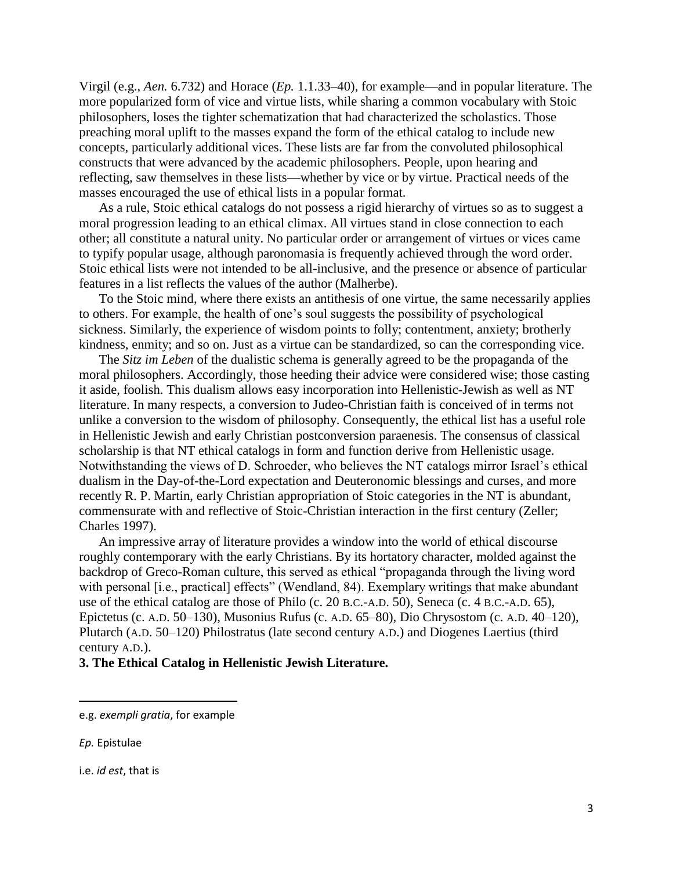Virgil (e.g., *Aen.* 6.732) and Horace (*Ep.* 1.1.33–40), for example—and in popular literature. The more popularized form of vice and virtue lists, while sharing a common vocabulary with Stoic philosophers, loses the tighter schematization that had characterized the scholastics. Those preaching moral uplift to the masses expand the form of the ethical catalog to include new concepts, particularly additional vices. These lists are far from the convoluted philosophical constructs that were advanced by the academic philosophers. People, upon hearing and reflecting, saw themselves in these lists—whether by vice or by virtue. Practical needs of the masses encouraged the use of ethical lists in a popular format.

As a rule, Stoic ethical catalogs do not possess a rigid hierarchy of virtues so as to suggest a moral progression leading to an ethical climax. All virtues stand in close connection to each other; all constitute a natural unity. No particular order or arrangement of virtues or vices came to typify popular usage, although paronomasia is frequently achieved through the word order. Stoic ethical lists were not intended to be all-inclusive, and the presence or absence of particular features in a list reflects the values of the author (Malherbe).

To the Stoic mind, where there exists an antithesis of one virtue, the same necessarily applies to others. For example, the health of one's soul suggests the possibility of psychological sickness. Similarly, the experience of wisdom points to folly; contentment, anxiety; brotherly kindness, enmity; and so on. Just as a virtue can be standardized, so can the corresponding vice.

The *Sitz im Leben* of the dualistic schema is generally agreed to be the propaganda of the moral philosophers. Accordingly, those heeding their advice were considered wise; those casting it aside, foolish. This dualism allows easy incorporation into Hellenistic-Jewish as well as NT literature. In many respects, a conversion to Judeo-Christian faith is conceived of in terms not unlike a conversion to the wisdom of philosophy. Consequently, the ethical list has a useful role in Hellenistic Jewish and early Christian postconversion paraenesis. The consensus of classical scholarship is that NT ethical catalogs in form and function derive from Hellenistic usage. Notwithstanding the views of D. Schroeder, who believes the NT catalogs mirror Israel's ethical dualism in the Day-of-the-Lord expectation and Deuteronomic blessings and curses, and more recently R. P. Martin, early Christian appropriation of Stoic categories in the NT is abundant, commensurate with and reflective of Stoic-Christian interaction in the first century (Zeller; Charles 1997).

An impressive array of literature provides a window into the world of ethical discourse roughly contemporary with the early Christians. By its hortatory character, molded against the backdrop of Greco-Roman culture, this served as ethical "propaganda through the living word with personal [i.e., practical] effects" (Wendland, 84). Exemplary writings that make abundant use of the ethical catalog are those of Philo (c. 20 B.C.-A.D. 50), Seneca (c. 4 B.C.-A.D. 65), Epictetus (c. A.D. 50–130), Musonius Rufus (c. A.D. 65–80), Dio Chrysostom (c. A.D. 40–120), Plutarch (A.D. 50–120) Philostratus (late second century A.D.) and Diogenes Laertius (third century A.D.).

## **3. The Ethical Catalog in Hellenistic Jewish Literature.**

 $\overline{\phantom{a}}$ 

e.g. *exempli gratia*, for example

*Ep.* Epistulae

i.e. *id est*, that is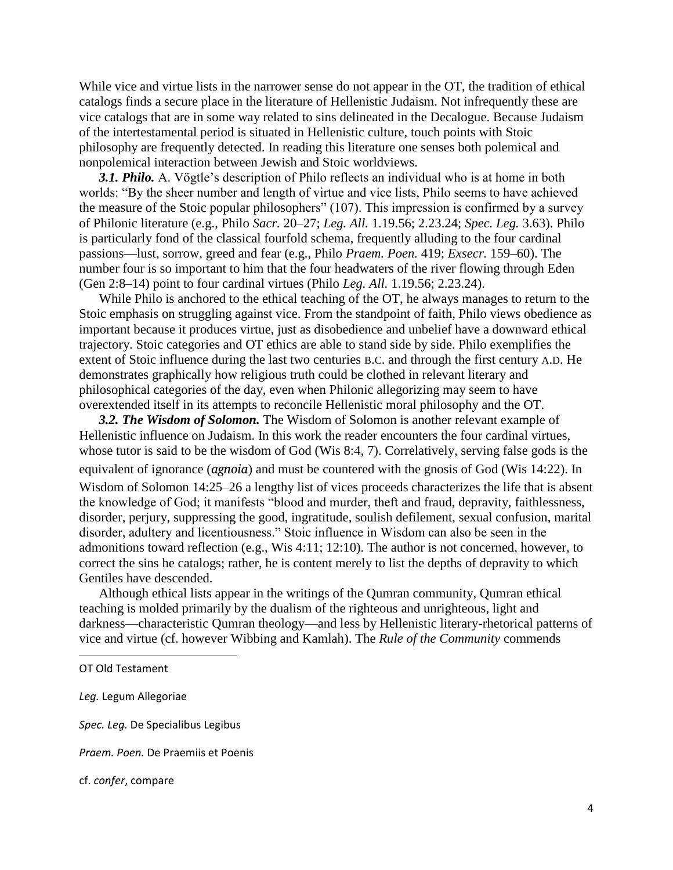While vice and virtue lists in the narrower sense do not appear in the OT, the tradition of ethical catalogs finds a secure place in the literature of Hellenistic Judaism. Not infrequently these are vice catalogs that are in some way related to sins delineated in the Decalogue. Because Judaism of the intertestamental period is situated in Hellenistic culture, touch points with Stoic philosophy are frequently detected. In reading this literature one senses both polemical and nonpolemical interaction between Jewish and Stoic worldviews.

*3.1. Philo.* A. Vögtle's description of Philo reflects an individual who is at home in both worlds: "By the sheer number and length of virtue and vice lists, Philo seems to have achieved the measure of the Stoic popular philosophers"  $(107)$ . This impression is confirmed by a survey of Philonic literature (e.g., Philo *Sacr.* 20–27; *Leg. All.* 1.19.56; 2.23.24; *Spec. Leg.* 3.63). Philo is particularly fond of the classical fourfold schema, frequently alluding to the four cardinal passions—lust, sorrow, greed and fear (e.g., Philo *Praem. Poen.* 419; *Exsecr.* 159–60). The number four is so important to him that the four headwaters of the river flowing through Eden (Gen 2:8–14) point to four cardinal virtues (Philo *Leg. All.* 1.19.56; 2.23.24).

While Philo is anchored to the ethical teaching of the OT, he always manages to return to the Stoic emphasis on struggling against vice. From the standpoint of faith, Philo views obedience as important because it produces virtue, just as disobedience and unbelief have a downward ethical trajectory. Stoic categories and OT ethics are able to stand side by side. Philo exemplifies the extent of Stoic influence during the last two centuries B.C. and through the first century A.D. He demonstrates graphically how religious truth could be clothed in relevant literary and philosophical categories of the day, even when Philonic allegorizing may seem to have overextended itself in its attempts to reconcile Hellenistic moral philosophy and the OT.

*3.2. The Wisdom of Solomon.* The Wisdom of Solomon is another relevant example of Hellenistic influence on Judaism. In this work the reader encounters the four cardinal virtues, whose tutor is said to be the wisdom of God (Wis 8:4, 7). Correlatively, serving false gods is the equivalent of ignorance (*agnoia*) and must be countered with the gnosis of God (Wis 14:22). In Wisdom of Solomon 14:25–26 a lengthy list of vices proceeds characterizes the life that is absent the knowledge of God; it manifests "blood and murder, theft and fraud, depravity, faithlessness, disorder, perjury, suppressing the good, ingratitude, soulish defilement, sexual confusion, marital disorder, adultery and licentiousness." Stoic influence in Wisdom can also be seen in the admonitions toward reflection (e.g., Wis 4:11; 12:10). The author is not concerned, however, to correct the sins he catalogs; rather, he is content merely to list the depths of depravity to which Gentiles have descended.

Although ethical lists appear in the writings of the Qumran community, Qumran ethical teaching is molded primarily by the dualism of the righteous and unrighteous, light and darkness—characteristic Qumran theology—and less by Hellenistic literary-rhetorical patterns of vice and virtue (cf. however Wibbing and Kamlah). The *Rule of the Community* commends

 $\overline{a}$ 

*Leg.* Legum Allegoriae

*Spec. Leg.* De Specialibus Legibus

*Praem. Poen.* De Praemiis et Poenis

cf. *confer*, compare

OT Old Testament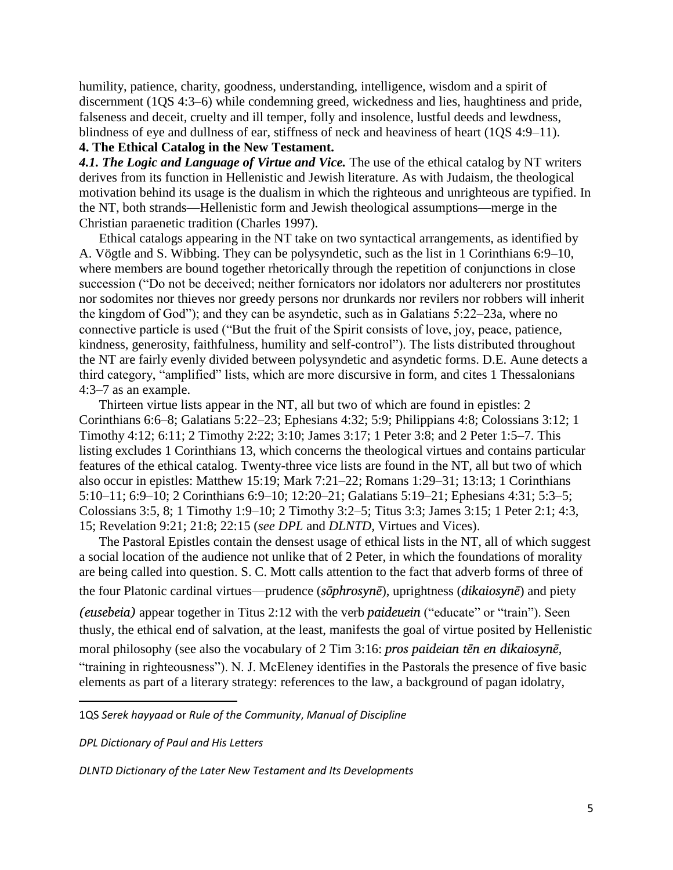humility, patience, charity, goodness, understanding, intelligence, wisdom and a spirit of discernment (1QS 4:3–6) while condemning greed, wickedness and lies, haughtiness and pride, falseness and deceit, cruelty and ill temper, folly and insolence, lustful deeds and lewdness, blindness of eye and dullness of ear, stiffness of neck and heaviness of heart (1QS 4:9–11). **4. The Ethical Catalog in the New Testament.**

*4.1. The Logic and Language of Virtue and Vice.* The use of the ethical catalog by NT writers derives from its function in Hellenistic and Jewish literature. As with Judaism, the theological motivation behind its usage is the dualism in which the righteous and unrighteous are typified. In the NT, both strands—Hellenistic form and Jewish theological assumptions—merge in the Christian paraenetic tradition (Charles 1997).

Ethical catalogs appearing in the NT take on two syntactical arrangements, as identified by A. Vögtle and S. Wibbing. They can be polysyndetic, such as the list in 1 Corinthians 6:9–10, where members are bound together rhetorically through the repetition of conjunctions in close succession ("Do not be deceived; neither fornicators nor idolators nor adulterers nor prostitutes nor sodomites nor thieves nor greedy persons nor drunkards nor revilers nor robbers will inherit the kingdom of God"); and they can be asyndetic, such as in Galatians  $5:22-23a$ , where no connective particle is used ("But the fruit of the Spirit consists of love, joy, peace, patience, kindness, generosity, faithfulness, humility and self-control"). The lists distributed throughout the NT are fairly evenly divided between polysyndetic and asyndetic forms. D.E. Aune detects a third category, "amplified" lists, which are more discursive in form, and cites 1 Thessalonians 4:3–7 as an example.

Thirteen virtue lists appear in the NT, all but two of which are found in epistles: 2 Corinthians 6:6–8; Galatians 5:22–23; Ephesians 4:32; 5:9; Philippians 4:8; Colossians 3:12; 1 Timothy 4:12; 6:11; 2 Timothy 2:22; 3:10; James 3:17; 1 Peter 3:8; and 2 Peter 1:5–7. This listing excludes 1 Corinthians 13, which concerns the theological virtues and contains particular features of the ethical catalog. Twenty-three vice lists are found in the NT, all but two of which also occur in epistles: Matthew 15:19; Mark 7:21–22; Romans 1:29–31; 13:13; 1 Corinthians 5:10–11; 6:9–10; 2 Corinthians 6:9–10; 12:20–21; Galatians 5:19–21; Ephesians 4:31; 5:3–5; Colossians 3:5, 8; 1 Timothy 1:9–10; 2 Timothy 3:2–5; Titus 3:3; James 3:15; 1 Peter 2:1; 4:3, 15; Revelation 9:21; 21:8; 22:15 (*see DPL* and *DLNTD,* Virtues and Vices).

The Pastoral Epistles contain the densest usage of ethical lists in the NT, all of which suggest a social location of the audience not unlike that of 2 Peter, in which the foundations of morality are being called into question. S. C. Mott calls attention to the fact that adverb forms of three of the four Platonic cardinal virtues—prudence (*sōphrosynē*), uprightness (*dikaiosynē*) and piety *(eusebeia)* appear together in Titus 2:12 with the verb *paideuein* ("educate" or "train"). Seen thusly, the ethical end of salvation, at the least, manifests the goal of virtue posited by Hellenistic

moral philosophy (see also the vocabulary of 2 Tim 3:16: *pros paideian tēn en dikaiosynē*, "training in righteousness"). N. J. McEleney identifies in the Pastorals the presence of five basic elements as part of a literary strategy: references to the law, a background of pagan idolatry,

1QS *Serek hayyaad* or *Rule of the Community*, *Manual of Discipline*

*DPL Dictionary of Paul and His Letters*

 $\overline{\phantom{a}}$ 

*DLNTD Dictionary of the Later New Testament and Its Developments*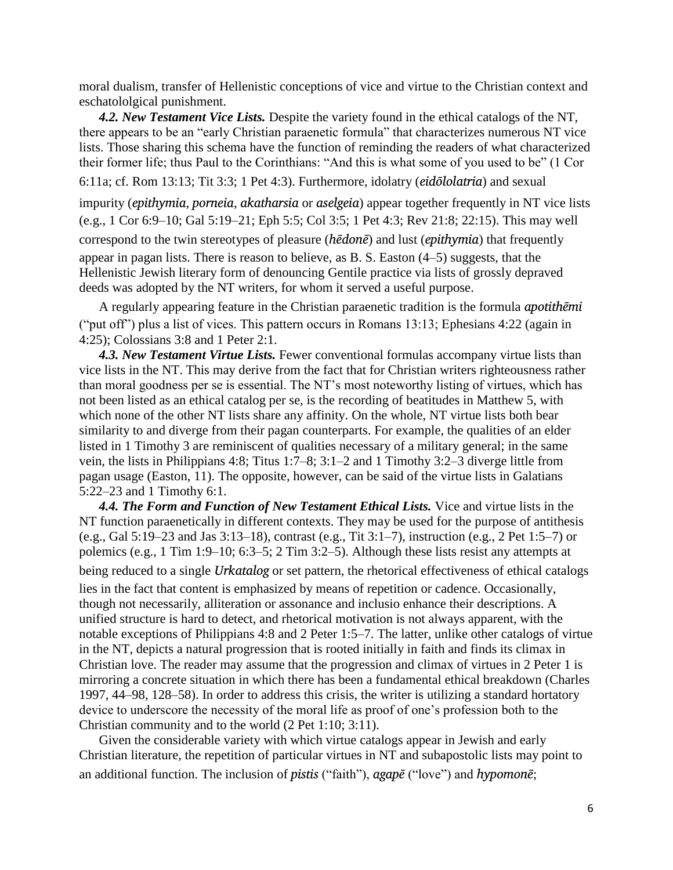moral dualism, transfer of Hellenistic conceptions of vice and virtue to the Christian context and eschatololgical punishment.

*4.2. New Testament Vice Lists.* Despite the variety found in the ethical catalogs of the NT, there appears to be an "early Christian paraenetic formula" that characterizes numerous NT vice lists. Those sharing this schema have the function of reminding the readers of what characterized their former life; thus Paul to the Corinthians: "And this is what some of you used to be" (1 Cor 6:11a; cf. Rom 13:13; Tit 3:3; 1 Pet 4:3). Furthermore, idolatry (*eidōlolatria*) and sexual impurity (*epithymia*, *porneia*, *akatharsia* or *aselgeia*) appear together frequently in NT vice lists (e.g., 1 Cor 6:9–10; Gal 5:19–21; Eph 5:5; Col 3:5; 1 Pet 4:3; Rev 21:8; 22:15). This may well correspond to the twin stereotypes of pleasure (*hēdonē*) and lust (*epithymia*) that frequently appear in pagan lists. There is reason to believe, as B. S. Easton (4–5) suggests, that the Hellenistic Jewish literary form of denouncing Gentile practice via lists of grossly depraved deeds was adopted by the NT writers, for whom it served a useful purpose.

A regularly appearing feature in the Christian paraenetic tradition is the formula *apotithēmi* ("put off") plus a list of vices. This pattern occurs in Romans  $13:13$ ; Ephesians  $4:22$  (again in 4:25); Colossians 3:8 and 1 Peter 2:1.

*4.3. New Testament Virtue Lists.* Fewer conventional formulas accompany virtue lists than vice lists in the NT. This may derive from the fact that for Christian writers righteousness rather than moral goodness per se is essential. The NT's most noteworthy listing of virtues, which has not been listed as an ethical catalog per se, is the recording of beatitudes in Matthew 5, with which none of the other NT lists share any affinity. On the whole, NT virtue lists both bear similarity to and diverge from their pagan counterparts. For example, the qualities of an elder listed in 1 Timothy 3 are reminiscent of qualities necessary of a military general; in the same vein, the lists in Philippians 4:8; Titus 1:7–8; 3:1–2 and 1 Timothy 3:2–3 diverge little from pagan usage (Easton, 11). The opposite, however, can be said of the virtue lists in Galatians 5:22–23 and 1 Timothy 6:1.

*4.4. The Form and Function of New Testament Ethical Lists.* Vice and virtue lists in the NT function paraenetically in different contexts. They may be used for the purpose of antithesis (e.g., Gal 5:19–23 and Jas 3:13–18), contrast (e.g., Tit 3:1–7), instruction (e.g., 2 Pet 1:5–7) or polemics (e.g., 1 Tim 1:9–10; 6:3–5; 2 Tim 3:2–5). Although these lists resist any attempts at being reduced to a single *Urkatalog* or set pattern, the rhetorical effectiveness of ethical catalogs lies in the fact that content is emphasized by means of repetition or cadence. Occasionally, though not necessarily, alliteration or assonance and inclusio enhance their descriptions. A unified structure is hard to detect, and rhetorical motivation is not always apparent, with the notable exceptions of Philippians 4:8 and 2 Peter 1:5–7. The latter, unlike other catalogs of virtue in the NT, depicts a natural progression that is rooted initially in faith and finds its climax in Christian love. The reader may assume that the progression and climax of virtues in 2 Peter 1 is mirroring a concrete situation in which there has been a fundamental ethical breakdown (Charles 1997, 44–98, 128–58). In order to address this crisis, the writer is utilizing a standard hortatory device to underscore the necessity of the moral life as proof of one's profession both to the Christian community and to the world (2 Pet 1:10; 3:11).

Given the considerable variety with which virtue catalogs appear in Jewish and early Christian literature, the repetition of particular virtues in NT and subapostolic lists may point to an additional function. The inclusion of *pistis* ("faith"), *agap* $\bar{e}$  ("love") and *hypomon* $\bar{e}$ ;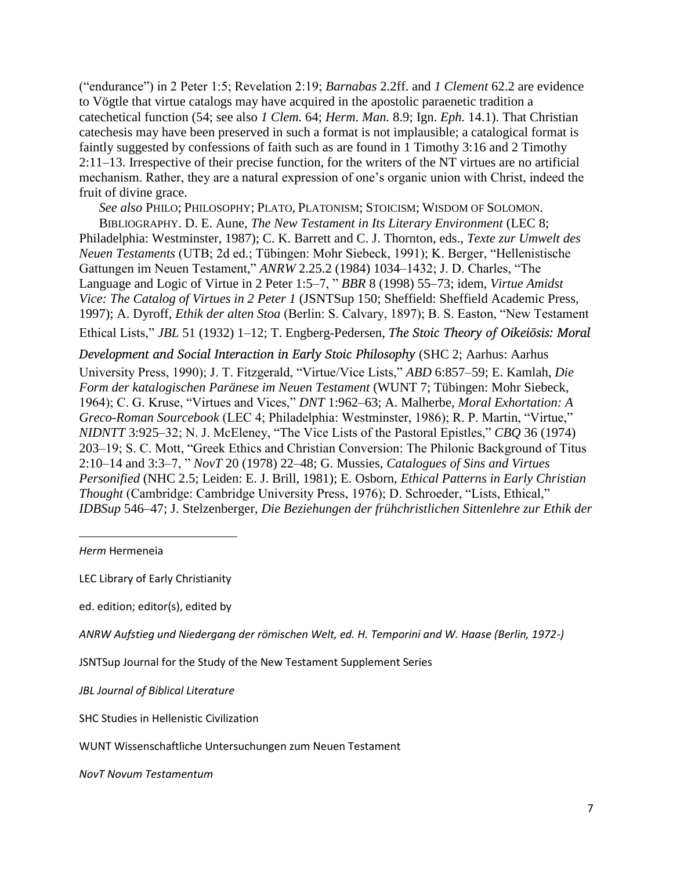(―endurance‖) in 2 Peter 1:5; Revelation 2:19; *Barnabas* 2.2ff. and *1 Clement* 62.2 are evidence to Vögtle that virtue catalogs may have acquired in the apostolic paraenetic tradition a catechetical function (54; see also *1 Clem.* 64; *Herm. Man.* 8.9; Ign. *Eph.* 14.1). That Christian catechesis may have been preserved in such a format is not implausible; a catalogical format is faintly suggested by confessions of faith such as are found in 1 Timothy 3:16 and 2 Timothy 2:11–13. Irrespective of their precise function, for the writers of the NT virtues are no artificial mechanism. Rather, they are a natural expression of one's organic union with Christ, indeed the fruit of divine grace.

*See also* PHILO; PHILOSOPHY; PLATO, PLATONISM; STOICISM; WISDOM OF SOLOMON.

BIBLIOGRAPHY. D. E. Aune, *The New Testament in Its Literary Environment* (LEC 8; Philadelphia: Westminster, 1987); C. K. Barrett and C. J. Thornton, eds., *Texte zur Umwelt des Neuen Testaments* (UTB; 2d ed.; Tübingen: Mohr Siebeck, 1991); K. Berger, "Hellenistische Gattungen im Neuen Testament," *ANRW* 2.25.2 (1984) 1034–1432; J. D. Charles, "The Language and Logic of Virtue in 2 Peter 1:5–7, " BBR 8 (1998) 55–73; idem, *Virtue Amidst Vice: The Catalog of Virtues in 2 Peter 1* (JSNTSup 150; Sheffield: Sheffield Academic Press, 1997); A. Dyroff, *Ethik der alten Stoa* (Berlin: S. Calvary, 1897); B. S. Easton, "New Testament Ethical Lists,‖ *JBL* 51 (1932) 1–12; T. Engberg-Pedersen, *The Stoic Theory of Oikeiōsis: Moral* 

*Development and Social Interaction in Early Stoic Philosophy* (SHC 2; Aarhus: Aarhus University Press, 1990); J. T. Fitzgerald, "Virtue/Vice Lists," *ABD* 6:857–59; E. Kamlah, *Die Form der katalogischen Paränese im Neuen Testament* (WUNT 7; Tübingen: Mohr Siebeck, 1964); C. G. Kruse, "Virtues and Vices," *DNT* 1:962–63; A. Malherbe, *Moral Exhortation: A Greco-Roman Sourcebook* (LEC 4; Philadelphia: Westminster, 1986); R. P. Martin, "Virtue," *NIDNTT* 3:925–32; N. J. McEleney, "The Vice Lists of the Pastoral Epistles," *CBQ* 36 (1974) 203–19; S. C. Mott, "Greek Ethics and Christian Conversion: The Philonic Background of Titus 2:10–14 and 3:3–7, ‖ *NovT* 20 (1978) 22–48; G. Mussies, *Catalogues of Sins and Virtues Personified* (NHC 2.5; Leiden: E. J. Brill, 1981); E. Osborn, *Ethical Patterns in Early Christian Thought* (Cambridge: Cambridge University Press, 1976); D. Schroeder, "Lists, Ethical," *IDBSup* 546–47; J. Stelzenberger, *Die Beziehungen der frühchristlichen Sittenlehre zur Ethik der* 

*Herm* Hermeneia

l

LEC Library of Early Christianity

ed. edition; editor(s), edited by

*ANRW Aufstieg und Niedergang der römischen Welt, ed. H. Temporini and W. Haase (Berlin, 1972-)*

JSNTSup Journal for the Study of the New Testament Supplement Series

*JBL Journal of Biblical Literature*

SHC Studies in Hellenistic Civilization

WUNT Wissenschaftliche Untersuchungen zum Neuen Testament

*NovT Novum Testamentum*